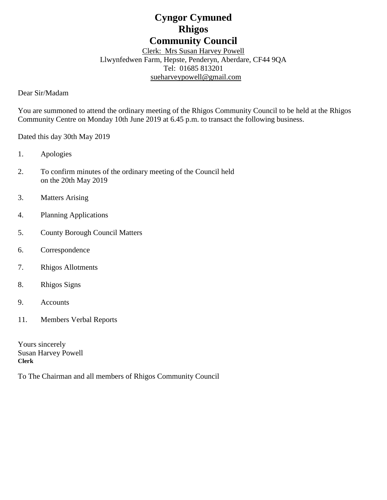# **Cyngor Cymuned Rhigos Community Council**

Clerk: Mrs Susan Harvey Powell Llwynfedwen Farm, Hepste, Penderyn, Aberdare, CF44 9QA Tel: 01685 813201 [sueharveypowell@g](mailto:sharveypowell@comin-infants.co.uk)mail.com

Dear Sir/Madam

You are summoned to attend the ordinary meeting of the Rhigos Community Council to be held at the Rhigos Community Centre on Monday 10th June 2019 at 6.45 p.m. to transact the following business.

Dated this day 30th May 2019

- 1. Apologies
- 2. To confirm minutes of the ordinary meeting of the Council held on the 20th May 2019
- 3. Matters Arising
- 4. Planning Applications
- 5. County Borough Council Matters
- 6. Correspondence
- 7. Rhigos Allotments
- 8. Rhigos Signs
- 9. Accounts
- 11. Members Verbal Reports

Yours sincerely Susan Harvey Powell **Clerk**

To The Chairman and all members of Rhigos Community Council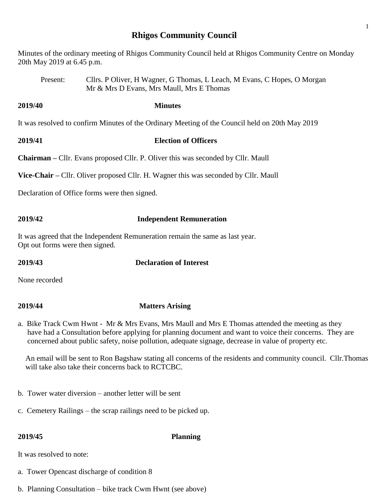## **Rhigos Community Council**

1

Minutes of the ordinary meeting of Rhigos Community Council held at Rhigos Community Centre on Monday 20th May 2019 at 6.45 p.m.

Present: Cllrs. P Oliver, H Wagner, G Thomas, L Leach, M Evans, C Hopes, O Morgan Mr & Mrs D Evans, Mrs Maull, Mrs E Thomas

**2019/40 Minutes**

It was resolved to confirm Minutes of the Ordinary Meeting of the Council held on 20th May 2019

**2019/41 Election of Officers**

**Chairman –** Cllr. Evans proposed Cllr. P. Oliver this was seconded by Cllr. Maull

**Vice-Chair –** Cllr. Oliver proposed Cllr. H. Wagner this was seconded by Cllr. Maull

Declaration of Office forms were then signed.

# **2019/42 Independent Remuneration**

It was agreed that the Independent Remuneration remain the same as last year. Opt out forms were then signed.

# **2019/43 Declaration of Interest**

None recorded

# **2019/44 Matters Arising**

a. Bike Track Cwm Hwnt - Mr & Mrs Evans, Mrs Maull and Mrs E Thomas attended the meeting as they have had a Consultation before applying for planning document and want to voice their concerns. They are concerned about public safety, noise pollution, adequate signage, decrease in value of property etc.

 An email will be sent to Ron Bagshaw stating all concerns of the residents and community council. Cllr.Thomas will take also take their concerns back to RCTCBC.

- b. Tower water diversion another letter will be sent
- c. Cemetery Railings the scrap railings need to be picked up.

### **2019/45 Planning**

It was resolved to note:

- a. Tower Opencast discharge of condition 8
- b. Planning Consultation bike track Cwm Hwnt (see above)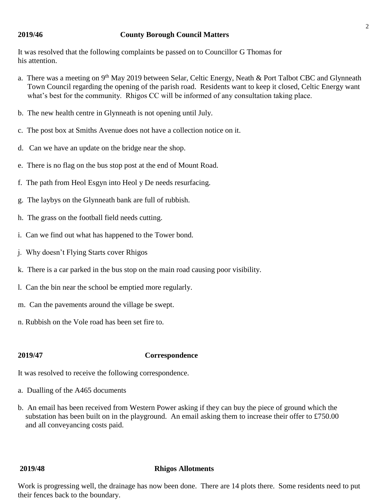### **2019/46 County Borough Council Matters**

It was resolved that the following complaints be passed on to Councillor G Thomas for his attention.

- a. There was a meeting on 9<sup>th</sup> May 2019 between Selar, Celtic Energy, Neath & Port Talbot CBC and Glynneath Town Council regarding the opening of the parish road. Residents want to keep it closed, Celtic Energy want what's best for the community. Rhigos CC will be informed of any consultation taking place.
- b. The new health centre in Glynneath is not opening until July.
- c. The post box at Smiths Avenue does not have a collection notice on it.
- d. Can we have an update on the bridge near the shop.
- e. There is no flag on the bus stop post at the end of Mount Road.
- f. The path from Heol Esgyn into Heol y De needs resurfacing.
- g. The laybys on the Glynneath bank are full of rubbish.
- h. The grass on the football field needs cutting.
- i. Can we find out what has happened to the Tower bond.
- j. Why doesn't Flying Starts cover Rhigos
- k. There is a car parked in the bus stop on the main road causing poor visibility.
- l. Can the bin near the school be emptied more regularly.
- m. Can the pavements around the village be swept.
- n. Rubbish on the Vole road has been set fire to.

### **2019/47 Correspondence**

It was resolved to receive the following correspondence.

- a. Dualling of the A465 documents
- b. An email has been received from Western Power asking if they can buy the piece of ground which the substation has been built on in the playground. An email asking them to increase their offer to £750.00 and all conveyancing costs paid.

### **2019/48 Rhigos Allotments**

Work is progressing well, the drainage has now been done. There are 14 plots there. Some residents need to put their fences back to the boundary.